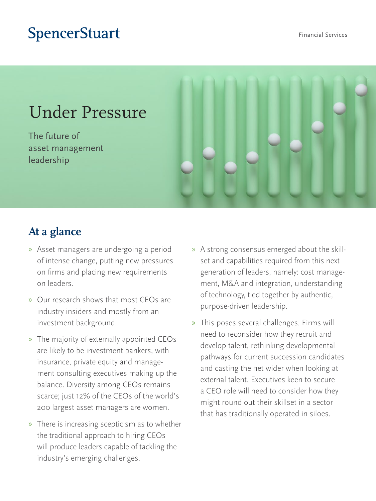## **SpencerStuart**

# Under Pressure

The future of asset management leadership



### **At a glance**

- » Asset managers are undergoing a period of intense change, putting new pressures on firms and placing new requirements on leaders.
- » Our research shows that most CEOs are industry insiders and mostly from an investment background.
- » The majority of externally appointed CEOs are likely to be investment bankers, with insurance, private equity and management consulting executives making up the balance. Diversity among CEOs remains scarce; just 12% of the CEOs of the world's 200 largest asset managers are women.
- » There is increasing scepticism as to whether the traditional approach to hiring CEOs will produce leaders capable of tackling the industry's emerging challenges.
- » A strong consensus emerged about the skillset and capabilities required from this next generation of leaders, namely: cost management, M&A and integration, understanding of technology, tied together by authentic, purpose-driven leadership.
- » This poses several challenges. Firms will need to reconsider how they recruit and develop talent, rethinking developmental pathways for current succession candidates and casting the net wider when looking at external talent. Executives keen to secure a CEO role will need to consider how they might round out their skillset in a sector that has traditionally operated in siloes.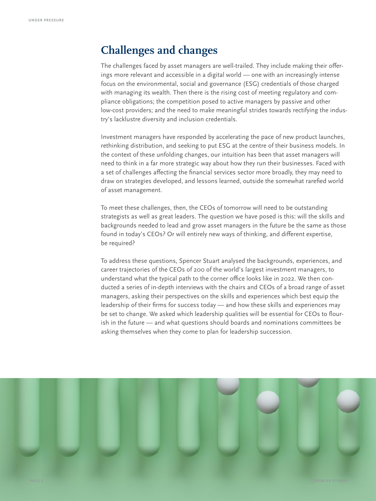### **Challenges and changes**

The challenges faced by asset managers are well-trailed. They include making their offerings more relevant and accessible in a digital world — one with an increasingly intense focus on the environmental, social and governance (ESG) credentials of those charged with managing its wealth. Then there is the rising cost of meeting regulatory and compliance obligations; the competition posed to active managers by passive and other low-cost providers; and the need to make meaningful strides towards rectifying the industry's lacklustre diversity and inclusion credentials.

Investment managers have responded by accelerating the pace of new product launches, rethinking distribution, and seeking to put ESG at the centre of their business models. In the context of these unfolding changes, our intuition has been that asset managers will need to think in a far more strategic way about how they run their businesses. Faced with a set of challenges affecting the financial services sector more broadly, they may need to draw on strategies developed, and lessons learned, outside the somewhat rarefied world of asset management.

To meet these challenges, then, the CEOs of tomorrow will need to be outstanding strategists as well as great leaders. The question we have posed is this: will the skills and backgrounds needed to lead and grow asset managers in the future be the same as those found in today's CEOs? Or will entirely new ways of thinking, and different expertise, be required?

To address these questions, Spencer Stuart analysed the backgrounds, experiences, and career trajectories of the CEOs of 200 of the world's largest investment managers, to understand what the typical path to the corner office looks like in 2022. We then conducted a series of in-depth interviews with the chairs and CEOs of a broad range of asset managers, asking their perspectives on the skills and experiences which best equip the leadership of their firms for success today — and how these skills and experiences may be set to change. We asked which leadership qualities will be essential for CEOs to flourish in the future — and what questions should boards and nominations committees be asking themselves when they come to plan for leadership succession.

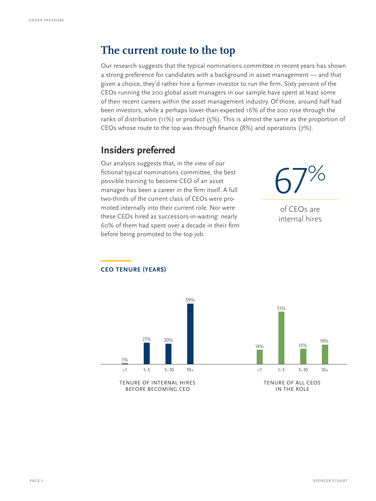### **The current route to the top**

Our research suggests that the typical nominations committee in recent years has shown a strong preference for candidates with a background in asset management — and that given a choice, they'd rather hire a former investor to run the firm. Sixty percent of the CEOs running the 200 global asset managers in our sample have spent at least some of their recent careers within the asset management industry. Of those, around half had been investors, while a perhaps lower-than-expected 16% of the 200 rose through the ranks of distribution (11%) or product (5%). This is almost the same as the proportion of CEOs whose route to the top was through finance (8%) and operations (7%).

### **Insiders preferred**

Our analysis suggests that, in the view of our fictional typical nominations committee, the best possible training to become CEO of an asset manager has been a career in the firm itself. A full two-thirds of the current class of CEOs were promoted internally into their current role. Nor were these CEOs hired as successors-in-waiting: nearly 60% of them had spent over a decade in their firm before being promoted to the top job.

67% of CEOs are internal hires



#### **—CEO TENURE (YEARS)**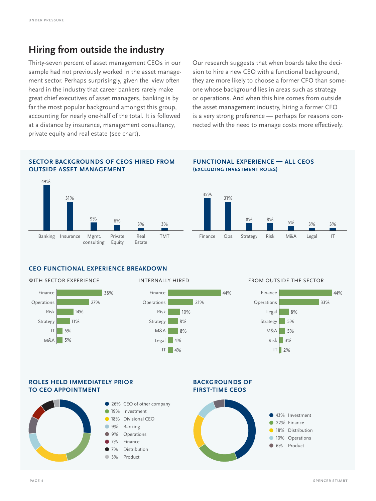#### **Hiring from outside the industry**

Thirty-seven percent of asset management CEOs in our sample had not previously worked in the asset management sector. Perhaps surprisingly, given the view often heard in the industry that career bankers rarely make great chief executives of asset managers, banking is by far the most popular background amongst this group, accounting for nearly one-half of the total. It is followed at a distance by insurance, management consultancy, private equity and real estate (see chart).

Our research suggests that when boards take the decision to hire a new CEO with a functional background, they are more likely to choose a former CFO than someone whose background lies in areas such as strategy or operations. And when this hire comes from outside the asset management industry, hiring a former CFO is a very strong preference — perhaps for reasons connected with the need to manage costs more effectively.

#### **SECTOR BACKGROUNDS OF CEOS HIRED FROM OUTSIDE ASSET MANAGEMENT**



#### **FUNCTIONAL EXPERIENCE — ALL CEOS**

**(EXCLUDING INVESTMENT ROLES)**



#### **CEO FUNCTIONAL EXPERIENCE BREAKDOWN**





#### WITH SECTOR EXPERIENCE **INTERNALLY HIRED** FROM OUTSIDE THE SECTOR



#### **ROLES HELD IMMEDIATELY PRIOR TO CEO APPOINTMENT**



#### **BACKGROUNDS OF FIRST-TIME CEOS**

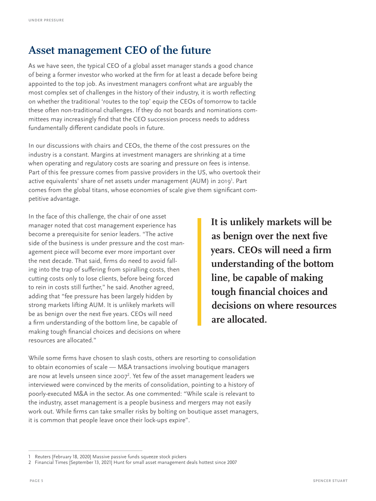### **Asset management CEO of the future**

As we have seen, the typical CEO of a global asset manager stands a good chance of being a former investor who worked at the firm for at least a decade before being appointed to the top job. As investment managers confront what are arguably the most complex set of challenges in the history of their industry, it is worth reflecting on whether the traditional 'routes to the top' equip the CEOs of tomorrow to tackle these often non-traditional challenges. If they do not boards and nominations committees may increasingly find that the CEO succession process needs to address fundamentally different candidate pools in future.

In our discussions with chairs and CEOs, the theme of the cost pressures on the industry is a constant. Margins at investment managers are shrinking at a time when operating and regulatory costs are soaring and pressure on fees is intense. Part of this fee pressure comes from passive providers in the US, who overtook their active equivalents' share of net assets under management (AUM) in 2019<sup>1</sup>. Part comes from the global titans, whose economies of scale give them significant competitive advantage.

In the face of this challenge, the chair of one asset manager noted that cost management experience has become a prerequisite for senior leaders. "The active side of the business is under pressure and the cost management piece will become ever more important over the next decade. That said, firms do need to avoid falling into the trap of suffering from spiralling costs, then cutting costs only to lose clients, before being forced to rein in costs still further," he said. Another agreed, adding that "fee pressure has been largely hidden by strong markets lifting AUM. It is unlikely markets will be as benign over the next five years. CEOs will need a firm understanding of the bottom line, be capable of making tough financial choices and decisions on where resources are allocated."

**It is unlikely markets will be as benign over the next five years. CEOs will need a firm understanding of the bottom line, be capable of making tough financial choices and decisions on where resources are allocated.**

While some firms have chosen to slash costs, others are resorting to consolidation to obtain economies of scale — M&A transactions involving boutique managers are now at levels unseen since 2007 $^2$ . Yet few of the asset management leaders we interviewed were convinced by the merits of consolidation, pointing to a history of poorly-executed M&A in the sector. As one commented: "While scale is relevant to the industry, asset management is a people business and mergers may not easily work out. While firms can take smaller risks by bolting on boutique asset managers, it is common that people leave once their lock-ups expire".

<sup>1</sup> Reuters [February 18, 2020] Massive passive funds squeeze stock pickers

<sup>2</sup> Financial Times [September 13, 2021] Hunt for small asset management deals hottest since 2007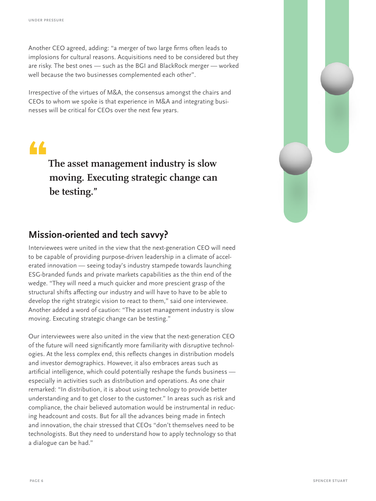Another CEO agreed, adding: "a merger of two large firms often leads to implosions for cultural reasons. Acquisitions need to be considered but they are risky. The best ones — such as the BGI and BlackRock merger — worked well because the two businesses complemented each other".

Irrespective of the virtues of M&A, the consensus amongst the chairs and CEOs to whom we spoke is that experience in M&A and integrating businesses will be critical for CEOs over the next few years.

•

**The asset management industry is slow moving. Executing strategic change can be testing."**

#### **Mission-oriented and tech savvy?**

Interviewees were united in the view that the next-generation CEO will need to be capable of providing purpose-driven leadership in a climate of accelerated innovation — seeing today's industry stampede towards launching ESG-branded funds and private markets capabilities as the thin end of the wedge. "They will need a much quicker and more prescient grasp of the structural shifts affecting our industry and will have to have to be able to develop the right strategic vision to react to them," said one interviewee. Another added a word of caution: "The asset management industry is slow moving. Executing strategic change can be testing."

Our interviewees were also united in the view that the next-generation CEO of the future will need significantly more familiarity with disruptive technologies. At the less complex end, this reflects changes in distribution models and investor demographics. However, it also embraces areas such as artificial intelligence, which could potentially reshape the funds business especially in activities such as distribution and operations. As one chair remarked: "In distribution, it is about using technology to provide better understanding and to get closer to the customer." In areas such as risk and compliance, the chair believed automation would be instrumental in reducing headcount and costs. But for all the advances being made in fintech and innovation, the chair stressed that CEOs "don't themselves need to be technologists. But they need to understand how to apply technology so that a dialogue can be had."

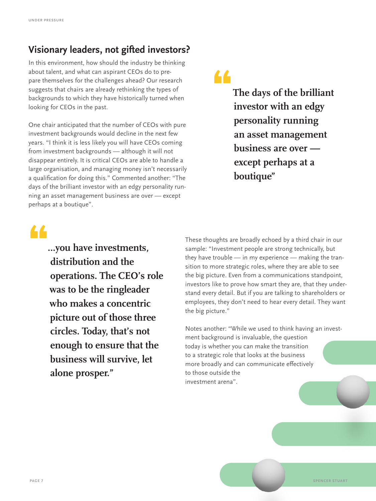### **Visionary leaders, not gifted investors?**

In this environment, how should the industry be thinking about talent, and what can aspirant CEOs do to prepare themselves for the challenges ahead? Our research suggests that chairs are already rethinking the types of backgrounds to which they have historically turned when looking for CEOs in the past.

One chair anticipated that the number of CEOs with pure investment backgrounds would decline in the next few years. "I think it is less likely you will have CEOs coming from investment backgrounds — although it will not disappear entirely. It is critical CEOs are able to handle a large organisation, and managing money isn't necessarily a qualification for doing this." Commented another: "The days of the brilliant investor with an edgy personality running an asset management business are over — except perhaps at a boutique".

• **The days of the brilliant investor with an edgy personality running an asset management business are over except perhaps at a boutique"**

## •

**…you have investments, distribution and the operations. The CEO's role was to be the ringleader who makes a concentric picture out of those three circles. Today, that's not enough to ensure that the business will survive, let alone prosper."** 

These thoughts are broadly echoed by a third chair in our sample: "Investment people are strong technically, but they have trouble — in my experience — making the transition to more strategic roles, where they are able to see the big picture. Even from a communications standpoint, investors like to prove how smart they are, that they understand every detail. But if you are talking to shareholders or employees, they don't need to hear every detail. They want the big picture."

Notes another: "While we used to think having an investment background is invaluable, the question today is whether you can make the transition to a strategic role that looks at the business more broadly and can communicate effectively to those outside the investment arena".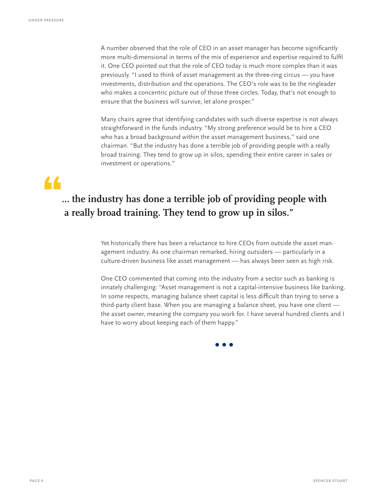A number observed that the role of CEO in an asset manager has become significantly more multi-dimensional in terms of the mix of experience and expertise required to fulfil it. One CEO pointed out that the role of CEO today is much more complex than it was previously. "I used to think of asset management as the three-ring circus — you have investments, distribution and the operations. The CEO's role was to be the ringleader who makes a concentric picture out of those three circles. Today, that's not enough to ensure that the business will survive, let alone prosper."

Many chairs agree that identifying candidates with such diverse expertise is not always straightforward in the funds industry. "My strong preference would be to hire a CEO who has a broad background within the asset management business," said one chairman. "But the industry has done a terrible job of providing people with a really broad training. They tend to grow up in silos, spending their entire career in sales or investment or operations."

## •

### **… the industry has done a terrible job of providing people with a really broad training. They tend to grow up in silos."**

Yet historically there has been a reluctance to hire CEOs from outside the asset management industry. As one chairman remarked, hiring outsiders — particularly in a culture-driven business like asset management — has always been seen as high risk.

One CEO commented that coming into the industry from a sector such as banking is innately challenging: "Asset management is not a capital-intensive business like banking. In some respects, managing balance sheet capital is less difficult than trying to serve a third-party client base. When you are managing a balance sheet, you have one client the asset owner, meaning the company you work for. I have several hundred clients and I have to worry about keeping each of them happy."

**• • •**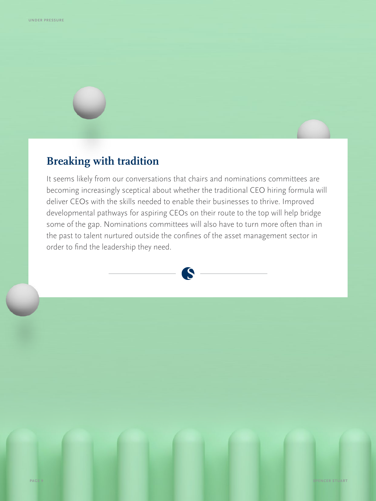## **Breaking with tradition**

It seems likely from our conversations that chairs and nominations committees are becoming increasingly sceptical about whether the traditional CEO hiring formula will deliver CEOs with the skills needed to enable their businesses to thrive. Improved developmental pathways for aspiring CEOs on their route to the top will help bridge some of the gap. Nominations committees will also have to turn more often than in the past to talent nurtured outside the confines of the asset management sector in order to find the leadership they need.

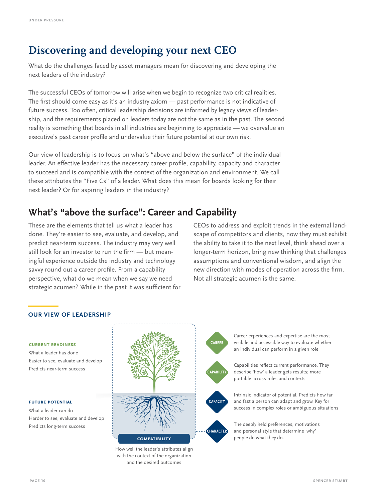### **Discovering and developing your next CEO**

What do the challenges faced by asset managers mean for discovering and developing the next leaders of the industry?

The successful CEOs of tomorrow will arise when we begin to recognize two critical realities. The first should come easy as it's an industry axiom — past performance is not indicative of future success. Too often, critical leadership decisions are informed by legacy views of leadership, and the requirements placed on leaders today are not the same as in the past. The second reality is something that boards in all industries are beginning to appreciate — we overvalue an executive's past career profile and undervalue their future potential at our own risk.

Our view of leadership is to focus on what's "above and below the surface" of the individual leader. An effective leader has the necessary career profile, capability, capacity and character to succeed and is compatible with the context of the organization and environment. We call these attributes the "Five Cs" of a leader. What does this mean for boards looking for their next leader? Or for aspiring leaders in the industry?

### **What's "above the surface": Career and Capability**

These are the elements that tell us what a leader has done. They're easier to see, evaluate, and develop, and predict near-term success. The industry may very well still look for an investor to run the firm — but meaningful experience outside the industry and technology savvy round out a career profile. From a capability perspective, what do we mean when we say we need strategic acumen? While in the past it was sufficient for

CEOs to address and exploit trends in the external landscape of competitors and clients, now they must exhibit the ability to take it to the next level, think ahead over a longer-term horizon, bring new thinking that challenges assumptions and conventional wisdom, and align the new direction with modes of operation across the firm. Not all strategic acumen is the same.

#### **OUR VIEW OF LEADERSHIP**

#### **current readiness**

What a leader has done Easier to see, evaluate and develop Predicts near-term success

#### **future potential**

What a leader can do Harder to see, evaluate and develop Predicts long-term success



How well the leader's attributes align with the context of the organization and the desired outcomes

Career experiences and expertise are the most visibile and accessible way to evaluate whether an individual can perform in a given role

Capabilities reflect current performance. They describe 'how' a leader gets results; more portable across roles and contexts

Intrinsic indicator of potential. Predicts how far and fast a person can adapt and grow. Key for success in complex roles or ambiguous situations

The deeply held preferences, motivations and personal style that determine 'why' people do what they do.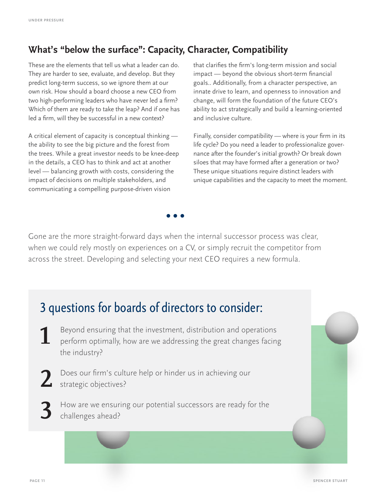### **What's "below the surface": Capacity, Character, Compatibility**

These are the elements that tell us what a leader can do. They are harder to see, evaluate, and develop. But they predict long-term success, so we ignore them at our own risk. How should a board choose a new CEO from two high-performing leaders who have never led a firm? Which of them are ready to take the leap? And if one has led a firm, will they be successful in a new context?

A critical element of capacity is conceptual thinking the ability to see the big picture and the forest from the trees. While a great investor needs to be knee-deep in the details, a CEO has to think and act at another level — balancing growth with costs, considering the impact of decisions on multiple stakeholders, and communicating a compelling purpose-driven vision

that clarifies the firm's long-term mission and social impact — beyond the obvious short-term financial goals.. Additionally, from a character perspective, an innate drive to learn, and openness to innovation and change, will form the foundation of the future CEO's ability to act strategically and build a learning-oriented and inclusive culture.

Finally, consider compatibility — where is your firm in its life cycle? Do you need a leader to professionalize governance after the founder's initial growth? Or break down siloes that may have formed after a generation or two? These unique situations require distinct leaders with unique capabilities and the capacity to meet the moment.

Gone are the more straight-forward days when the internal successor process was clear, when we could rely mostly on experiences on a CV, or simply recruit the competitor from across the street. Developing and selecting your next CEO requires a new formula.

**• • •**

## 3 questions for boards of directors to consider:

- **1** Beyond ensuring that the investment, distribution and operations perform optimally, how are we addressing the great changes facing the industry?
- **2** Does our firm's culture help or hinder us in achieving our strategic objectives?
	- **3** How are we ensuring our potential successors are ready for the challenges ahead?